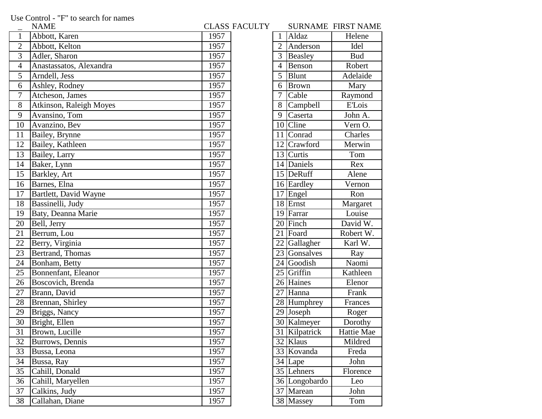Use Control - "F" to search for names

|                | NAME                    |      | CLASS FACULTY |                | SURNAME FIRST NAM      |               |
|----------------|-------------------------|------|---------------|----------------|------------------------|---------------|
| $\mathbf{1}$   | Abbott, Karen           | 1957 |               | $\mathbf{1}$   | Aldaz                  | Helene        |
| $\overline{2}$ | Abbott, Kelton          | 1957 |               | $\overline{2}$ | Anderson               | Idel          |
| 3              | Adler, Sharon           | 1957 |               | 3              | Beasley                | <b>Bud</b>    |
| $\overline{4}$ | Anastassatos, Alexandra | 1957 |               | 4              | Benson                 | Robert        |
| 5              | Arndell, Jess           | 1957 |               | 5              | <b>Blunt</b>           | Adelaide      |
| 6              | Ashley, Rodney          | 1957 |               | 6              | <b>Brown</b>           | Mary          |
| 7              | Atcheson, James         | 1957 |               | 7              | Cable                  | Raymond       |
| 8              | Atkinson, Raleigh Moyes | 1957 |               | 8              | Campbell               | <b>E'Lois</b> |
| 9              | Avansino, Tom           | 1957 |               | 9              | Caserta                | John A.       |
| 10             | Avanzino, Bev           | 1957 |               | 10             | Cline                  | Vern O.       |
| 11             | Bailey, Brynne          | 1957 |               | 11             | Conrad                 | Charles       |
| 12             | Bailey, Kathleen        | 1957 |               | 12             | Crawford               | Merwin        |
| 13             | Bailey, Larry           | 1957 |               |                | 13 Curtis              | Tom           |
| 14             | Baker, Lynn             | 1957 |               |                | 14 Daniels             | Rex           |
| 15             | Barkley, Art            | 1957 |               |                | 15 DeRuff              | Alene         |
| 16             | Barnes, Elna            | 1957 |               |                | 16 Eardley             | Vernon        |
| 17             | Bartlett, David Wayne   | 1957 |               |                | $17$ Engel             | Ron           |
| 18             | Bassinelli, Judy        | 1957 |               |                | $18$ Ernst             | Margaret      |
| 19             | Baty, Deanna Marie      | 1957 |               |                | 19 Farrar              | Louise        |
| 20             | Bell, Jerry             | 1957 |               |                | 20 Finch               | David W.      |
| 21             | Berrum, Lou             | 1957 |               | 21             | Foard                  | Robert W.     |
| 22             | Berry, Virginia         | 1957 |               | 22             | Gallagher              | Karl W.       |
| 23             | Bertrand, Thomas        | 1957 |               |                | 23 Gonsalves           | Ray           |
| 24             | Bonham, Betty           | 1957 |               |                | 24 Goodish             | Naomi         |
| 25             | Bonnenfant, Eleanor     | 1957 |               |                | $25$ Griffin           | Kathleen      |
| 26             | Boscovich, Brenda       | 1957 |               |                | 26 Haines              | Elenor        |
| 27             | Brann, David            | 1957 |               | 27             | Hanna                  | Frank         |
| 28             | Brennan, Shirley        | 1957 |               |                | 28 Humphrey            | Frances       |
| 29             | Briggs, Nancy           | 1957 |               |                | $\overline{29}$ Joseph | Roger         |
| 30             | Bright, Ellen           | 1957 |               |                | 30 Kalmeyer            | Dorothy       |
| 31             | Brown, Lucille          | 1957 |               |                | 31 Kilpatrick          | Hattie Mae    |
| 32             | Burrows, Dennis         | 1957 |               |                | 32 Klaus               | Mildred       |
| 33             | Bussa, Leona            | 1957 |               |                | 33 Kovanda             | Freda         |
| 34             | Bussa, Ray              | 1957 |               |                | 34 Lape                | John          |
| 35             | Cahill, Donald          | 1957 |               |                | 35 Lehners             | Florence      |
| 36             | Cahill, Maryellen       | 1957 |               |                | 36 Longobardo          | Leo           |
| 37             | Calkins, Judy           | 1957 |               |                | 37 Marean              | John          |
| 38             | Callahan, Diane         | 1957 |               |                | 38 Massey              | Tom           |

|      | <b>CLASS FACULTY</b> |                |                       | <b>SURNAME FIRST NAME</b> |
|------|----------------------|----------------|-----------------------|---------------------------|
| 1957 |                      | 1              | Aldaz                 | Helene                    |
| 1957 |                      | $\overline{2}$ | Anderson              | Idel                      |
| 1957 |                      | 3              | <b>Beasley</b>        | <b>Bud</b>                |
| 1957 |                      | $\overline{4}$ | Benson                | Robert                    |
| 1957 |                      | 5              | <b>Blunt</b>          | Adelaide                  |
| 1957 |                      | 6              | <b>Brown</b>          | Mary                      |
| 1957 |                      | 7              | Cable                 | Raymond                   |
| 1957 |                      | 8              | Campbell              | <b>E'Lois</b>             |
| 1957 |                      | 9              | Caserta               | John A.                   |
| 1957 |                      |                | $\overline{10}$ Cline | Vern O.                   |
| 1957 |                      | 11             | Conrad                | Charles                   |
| 1957 |                      | 12             | Crawford              | Merwin                    |
| 1957 |                      |                | 13 Curtis             | Tom                       |
| 1957 |                      |                | 14 Daniels            | Rex                       |
| 1957 |                      |                | 15 DeRuff             | Alene                     |
| 1957 |                      |                | 16 Eardley            | Vernon                    |
| 1957 |                      | 17             | Engel                 | Ron                       |
| 1957 |                      |                | $18$ Ernst            | Margaret                  |
| 1957 |                      |                | 19 Farrar             | Louise                    |
| 1957 |                      |                | 20 Finch              | David W.                  |
| 1957 |                      | 21             | Foard                 | Robert W.                 |
| 1957 |                      |                | 22 Gallagher          | Karl W.                   |
| 1957 |                      |                | 23 Gonsalves          | Ray                       |
| 1957 |                      | 24             | Goodish               | Naomi                     |
| 1957 |                      |                | 25 Griffin            | Kathleen                  |
| 1957 |                      |                | 26 Haines             | Elenor                    |
| 1957 |                      | 27             | Hanna                 | Frank                     |
| 1957 |                      |                | 28 Humphrey           | Frances                   |
| 1957 |                      | 29             | Joseph                | Roger                     |
| 1957 |                      |                | 30 Kalmeyer           | Dorothy                   |
| 1957 |                      | 31             | Kilpatrick            | Hattie Mae                |
| 1957 |                      | 32             | Klaus                 | Mildred                   |
| 1957 |                      | 33             | Kovanda               | Freda                     |
| 1957 |                      | 34             | Lape                  | John                      |
| 1957 |                      | 35             | Lehners               | Florence                  |
| 1957 |                      | 36             | Longobardo            | Leo                       |
| 1957 |                      | 37             | Marean                | John                      |
| 1957 |                      | 38             | Massey                | Tom                       |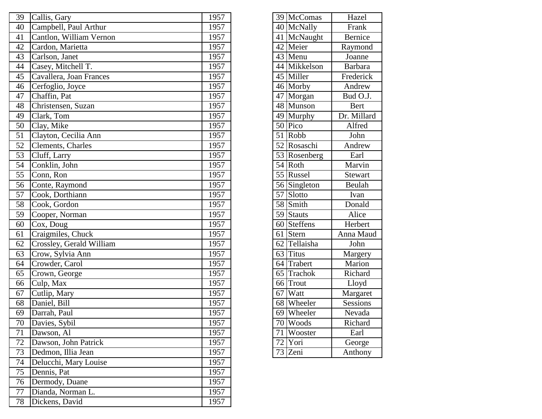| 39 | Callis, Gary             | 1957 |    | 39 McComas   | Hazel          |
|----|--------------------------|------|----|--------------|----------------|
| 40 | Campbell, Paul Arthur    | 1957 |    | 40 McNally   | Frank          |
| 41 | Cantlon, William Vernon  | 1957 | 41 | McNaught     | Bernice        |
| 42 | Cardon, Marietta         | 1957 | 42 | Meier        | Raymond        |
| 43 | Carlson, Janet           | 1957 |    | 43 Menu      | Joanne         |
| 44 | Casey, Mitchell T.       | 1957 | 44 | Mikkelson    | <b>Barbara</b> |
| 45 | Cavallera, Joan Frances  | 1957 |    | 45 Miller    | Frederick      |
| 46 | Cerfoglio, Joyce         | 1957 |    | 46 Morby     | Andrew         |
| 47 | Chaffin, Pat             | 1957 |    | 47 Morgan    | Bud O.J.       |
| 48 | Christensen, Suzan       | 1957 |    | 48 Munson    | <b>Bert</b>    |
| 49 | Clark, Tom               | 1957 |    | 49 Murphy    | Dr. Millard    |
| 50 | Clay, Mike               | 1957 |    | $50$ Pico    | Alfred         |
| 51 | Clayton, Cecilia Ann     | 1957 | 51 | Robb         | John           |
| 52 | Clements, Charles        | 1957 |    | 52 Rosaschi  | Andrew         |
| 53 | Cluff, Larry             | 1957 |    | 53 Rosenberg | Earl           |
| 54 | Conklin, John            | 1957 |    | $54$ Roth    | Marvin         |
| 55 | Conn, Ron                | 1957 |    | 55 Russel    | Stewart        |
| 56 | Conte, Raymond           | 1957 |    | 56 Singleton | Beulah         |
| 57 | Cook, Dorthiann          | 1957 |    | 57 Slotto    | Ivan           |
| 58 | Cook, Gordon             | 1957 |    | 58 Smith     | Donald         |
| 59 | Cooper, Norman           | 1957 | 59 | Stauts       | Alice          |
| 60 | Cox, Doug                | 1957 |    | 60 Steffens  | Herbert        |
| 61 | Craigmiles, Chuck        | 1957 | 61 | Stern        | Anna Maud      |
| 62 | Crossley, Gerald William | 1957 | 62 | Tellaisha    | John           |
| 63 | Crow, Sylvia Ann         | 1957 | 63 | <b>Titus</b> | Margery        |
| 64 | Crowder, Carol           | 1957 | 64 | Trabert      | Marion         |
| 65 | Crown, George            | 1957 |    | 65 Trachok   | Richard        |
| 66 | Culp, Max                | 1957 | 66 | Trout        | Lloyd          |
| 67 | Cutlip, Mary             | 1957 | 67 | Watt         | Margaret       |
| 68 | Daniel, Bill             | 1957 |    | 68 Wheeler   | Sessions       |
| 69 | Darrah, Paul             | 1957 |    | 69 Wheeler   | Nevada         |
| 70 | Davies, Sybil            | 1957 |    | 70 Woods     | Richard        |
| 71 | Dawson, Al               | 1957 | 71 | Wooster      | Earl           |
| 72 | Dawson, John Patrick     | 1957 | 72 | Yori         | George         |
| 73 | Dedmon, Illia Jean       | 1957 |    | 73 Zeni      | Anthony        |
| 74 | Delucchi, Mary Louise    | 1957 |    |              |                |
| 75 | Dennis, Pat              | 1957 |    |              |                |
| 76 | Dermody, Duane           | 1957 |    |              |                |
| 77 | Dianda, Norman L.        | 1957 |    |              |                |
| 78 | Dickens, David           | 1957 |    |              |                |

|                 | 39 McComas                | Hazel          |
|-----------------|---------------------------|----------------|
| 40 <sup>1</sup> | McNally                   | Frank          |
|                 | 41 McNaught               | Bernice        |
|                 | 42 Meier                  | Raymond        |
|                 | $\overline{43}$ Menu      | Joanne         |
|                 | 44 Mikkelson              | <b>Barbara</b> |
|                 | 45 Miller                 | Frederick      |
|                 | 46 Morby                  | Andrew         |
|                 | $\overline{47}$ Morgan    | Bud O.J.       |
|                 | 48 Munson                 | <b>Bert</b>    |
|                 | 49 Murphy                 | Dr. Millard    |
|                 | $50$ Pico                 | Alfred         |
|                 | $51$ Robb                 | John           |
|                 | 52 Rosaschi               | Andrew         |
|                 | 53 Rosenberg              | Earl           |
|                 | 54 Roth                   | Marvin         |
|                 | 55 Russel                 | <b>Stewart</b> |
|                 | $\overline{56}$ Singleton | Beulah         |
| $\overline{57}$ | Slotto                    | Ivan           |
|                 | 58 Smith                  | Donald         |
|                 | 59 Stauts                 | Alice          |
|                 | 60 Steffens               | Herbert        |
|                 | 61 Stern                  | Anna Maud      |
|                 | 62 Tellaisha              | John           |
| 63              | Titus                     | Margery        |
| $6\overline{4}$ | Trabert                   | Marion         |
| 65              | Trachok                   | Richard        |
| 66              | Trout                     | Lloyd          |
|                 | 67   Watt                 | Margaret       |
|                 | 68 Wheeler                | Sessions       |
|                 | 69 Wheeler                | Nevada         |
|                 | 70 Woods                  | Richard        |
| $\overline{71}$ | Wooster                   | Earl           |
| $\overline{72}$ | Yori                      | George         |
| $\overline{73}$ | Zeni                      | Anthony        |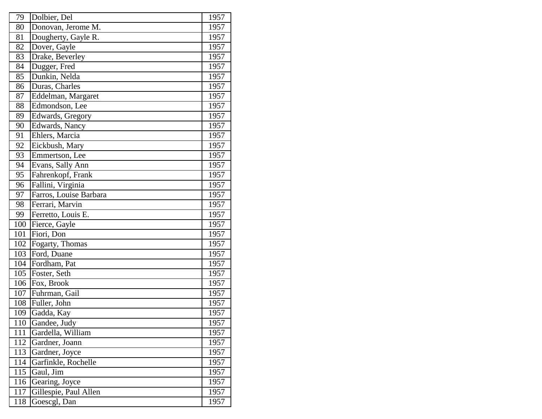| 79  | Dolbier, Del           | 1957 |
|-----|------------------------|------|
| 80  | Donovan, Jerome M.     | 1957 |
| 81  | Dougherty, Gayle R.    | 1957 |
| 82  | Dover, Gayle           | 1957 |
| 83  | Drake, Beverley        | 1957 |
| 84  | Dugger, Fred           | 1957 |
| 85  | Dunkin, Nelda          | 1957 |
| 86  | Duras, Charles         | 1957 |
| 87  | Eddelman, Margaret     | 1957 |
| 88  | Edmondson, Lee         | 1957 |
| 89  | Edwards, Gregory       | 1957 |
| 90  | Edwards, Nancy         | 1957 |
| 91  | Ehlers, Marcia         | 1957 |
| 92  | Eickbush, Mary         | 1957 |
| 93  | Emmertson, Lee         | 1957 |
| 94  | Evans, Sally Ann       | 1957 |
| 95  | Fahrenkopf, Frank      | 1957 |
| 96  | Fallini, Virginia      | 1957 |
| 97  | Farros, Louise Barbara | 1957 |
| 98  | Ferrari, Marvin        | 1957 |
| 99  | Ferretto, Louis E.     | 1957 |
| 100 | Fierce, Gayle          | 1957 |
| 101 | Fiori, Don             | 1957 |
| 102 | Fogarty, Thomas        | 1957 |
| 103 | Ford, Duane            | 1957 |
| 104 | Fordham, Pat           | 1957 |
| 105 | Foster, Seth           | 1957 |
| 106 | Fox, Brook             | 1957 |
| 107 | Fuhrman, Gail          | 1957 |
| 108 | Fuller, John           | 1957 |
| 109 | Gadda, Kay             | 1957 |
| 110 | Gandee, Judy           | 1957 |
| 111 | Gardella, William      | 1957 |
| 112 | Gardner, Joann         | 1957 |
| 113 | Gardner, Joyce         | 1957 |
| 114 | Garfinkle, Rochelle    | 1957 |
| 115 | Gaul, Jim              | 1957 |
| 116 | Gearing, Joyce         | 1957 |
| 117 | Gillespie, Paul Allen  | 1957 |
| 118 | Goescgl, Dan           | 1957 |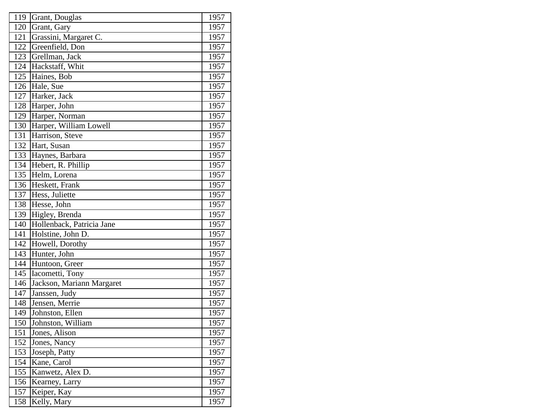| 119 | Grant, Douglas            | 1957              |
|-----|---------------------------|-------------------|
| 120 | Grant, Gary               | 1957              |
| 121 | Grassini, Margaret C.     | 1957              |
| 122 | Greenfield, Don           | 1957              |
| 123 | Grellman, Jack            | 1957              |
| 124 | Hackstaff, Whit           | 1957              |
| 125 | Haines, Bob               | 1957              |
| 126 | Hale, Sue                 | 1957              |
| 127 | Harker, Jack              | 1957              |
| 128 | Harper, John              | 1957              |
| 129 | Harper, Norman            | 1957              |
| 130 | Harper, William Lowell    | 1957              |
| 131 | Harrison, Steve           | 1957              |
| 132 | Hart, Susan               | 1957              |
| 133 | Haynes, Barbara           | 1957              |
| 134 | Hebert, R. Phillip        | 1957              |
| 135 | Helm, Lorena              | 1957              |
| 136 | Heskett, Frank            | 1957              |
| 137 | Hess, Juliette            | 1957              |
| 138 | Hesse, John               | 1957              |
| 139 | Higley, Brenda            | 1957              |
| 140 | Hollenback, Patricia Jane | 1957              |
| 141 | Holstine, John D.         | 1957              |
| 142 | Howell, Dorothy           | 1957              |
| 143 | Hunter, John              | 1957              |
| 144 | Huntoon, Greer            | 1957              |
| 145 | Iacometti, Tony           | 1957              |
| 146 | Jackson, Mariann Margaret | 1957              |
| 147 | Janssen, Judy             | 1957              |
| 148 | Jensen, Merrie            | 1957              |
| 149 | Johnston, Ellen           | 1957              |
| 150 | Johnston, William         | 1957              |
| 151 | Jones, Alison             | 1957              |
| 152 | Jones, Nancy              | 1957              |
| 153 | Joseph, Patty             | 1957              |
| 154 | Kane, Carol               | 1957              |
| 155 | Kanwetz, Alex D.          | $\overline{1}957$ |
| 156 | Kearney, Larry            | 1957              |
| 157 | Keiper, Kay               | 1957              |
| 158 | Kelly, Mary               | 1957              |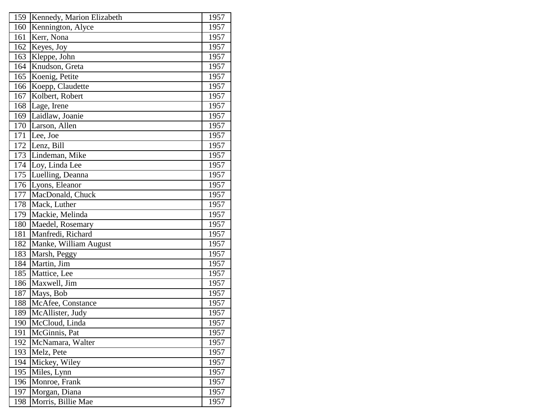| 159 | Kennedy, Marion Elizabeth | 1957 |
|-----|---------------------------|------|
| 160 | Kennington, Alyce         | 1957 |
| 161 | Kerr, Nona                | 1957 |
| 162 | Keyes, Joy                | 1957 |
| 163 | Kleppe, John              | 1957 |
| 164 | Knudson, Greta            | 1957 |
| 165 | Koenig, Petite            | 1957 |
| 166 | Koepp, Claudette          | 1957 |
| 167 | Kolbert, Robert           | 1957 |
| 168 | Lage, Irene               | 1957 |
| 169 | Laidlaw, Joanie           | 1957 |
| 170 | Larson, Allen             | 1957 |
| 171 | Lee, Joe                  | 1957 |
| 172 | Lenz, Bill                | 1957 |
| 173 | Lindeman, Mike            | 1957 |
| 174 | Loy, Linda Lee            | 1957 |
| 175 | Luelling, Deanna          | 1957 |
| 176 | Lyons, Eleanor            | 1957 |
| 177 | MacDonald, Chuck          | 1957 |
| 178 | Mack, Luther              | 1957 |
| 179 | Mackie, Melinda           | 1957 |
| 180 | Maedel, Rosemary          | 1957 |
| 181 | Manfredi, Richard         | 1957 |
| 182 | Manke, William August     | 1957 |
| 183 | Marsh, Peggy              | 1957 |
| 184 | Martin, Jim               | 1957 |
| 185 | Mattice, Lee              | 1957 |
| 186 | Maxwell, Jim              | 1957 |
| 187 | Mays, Bob                 | 1957 |
| 188 | McAfee, Constance         | 1957 |
| 189 | McAllister, Judy          | 1957 |
| 190 | McCloud, Linda            | 1957 |
| 191 | McGinnis, Pat             | 1957 |
| 192 | McNamara, Walter          | 1957 |
| 193 | Melz, Pete                | 1957 |
| 194 | Mickey, Wiley             | 1957 |
| 195 | Miles, Lynn               | 1957 |
| 196 | Monroe, Frank             | 1957 |
| 197 | Morgan, Diana             | 1957 |
| 198 | Morris, Billie Mae        | 1957 |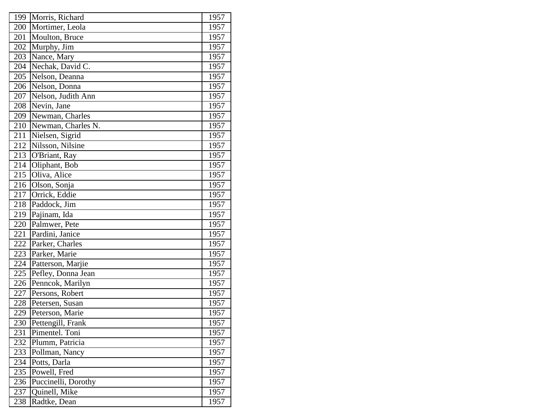| 199 | Morris, Richard     | 1957 |
|-----|---------------------|------|
| 200 | Mortimer, Leola     | 1957 |
| 201 | Moulton, Bruce      | 1957 |
| 202 | Murphy, Jim         | 1957 |
| 203 | Nance, Mary         | 1957 |
| 204 | Nechak, David C.    | 1957 |
| 205 | Nelson, Deanna      | 1957 |
| 206 | Nelson, Donna       | 1957 |
| 207 | Nelson, Judith Ann  | 1957 |
| 208 | Nevin, Jane         | 1957 |
| 209 | Newman, Charles     | 1957 |
| 210 | Newman, Charles N.  | 1957 |
| 211 | Nielsen, Sigrid     | 1957 |
| 212 | Nilsson, Nilsine    | 1957 |
| 213 | O'Briant, Ray       | 1957 |
| 214 | Oliphant, Bob       | 1957 |
| 215 | Oliva, Alice        | 1957 |
| 216 | Olson, Sonja        | 1957 |
| 217 | Orrick, Eddie       | 1957 |
| 218 | Paddock, Jim        | 1957 |
| 219 | Pajinam, Ida        | 1957 |
| 220 | Palmwer, Pete       | 1957 |
| 221 | Pardini, Janice     | 1957 |
| 222 | Parker, Charles     | 1957 |
| 223 | Parker, Marie       | 1957 |
| 224 | Patterson, Marjie   | 1957 |
| 225 | Pefley, Donna Jean  | 1957 |
| 226 | Penncok, Marilyn    | 1957 |
| 227 | Persons, Robert     | 1957 |
| 228 | Petersen, Susan     | 1957 |
| 229 | Peterson, Marie     | 1957 |
| 230 | Pettengill, Frank   | 1957 |
| 231 | Pimentel. Toni      | 1957 |
| 232 | Plumm, Patricia     | 1957 |
| 233 | Pollman, Nancy      | 1957 |
| 234 | Potts, Darla        | 1957 |
| 235 | Powell, Fred        | 1957 |
| 236 | Puccinelli, Dorothy | 1957 |
| 237 | Quinell, Mike       | 1957 |
| 238 | Radtke, Dean        | 1957 |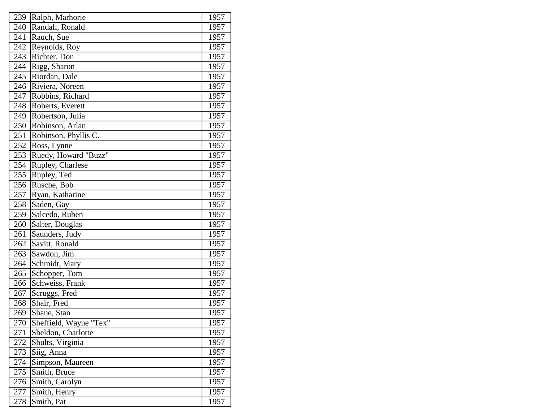| 239 | Ralph, Marhorie        | 1957              |
|-----|------------------------|-------------------|
| 240 | Randall, Ronald        | 1957              |
| 241 | Rauch, Sue             | 1957              |
| 242 | Reynolds, Roy          | 1957              |
| 243 | Richter, Don           | 1957              |
| 244 | Rigg, Sharon           | 1957              |
| 245 | Riordan, Dale          | 1957              |
| 246 | Riviera, Noreen        | 1957              |
| 247 | Robbins, Richard       | 1957              |
| 248 | Roberts, Everett       | 1957              |
| 249 | Robertson, Julia       | 1957              |
| 250 | Robinson, Arlan        | 1957              |
| 251 | Robinson, Phyllis C.   | 1957              |
| 252 | Ross, Lynne            | 1957              |
| 253 | Ruedy, Howard "Buzz"   | 1957              |
| 254 | Rupley, Charlese       | 1957              |
| 255 | Rupley, Ted            | 1957              |
| 256 | Rusche, Bob            | 1957              |
| 257 | Ryan, Katharine        | 1957              |
| 258 | Saden, Gay             | 1957              |
| 259 | Salcedo, Ruben         | 1957              |
| 260 | Salter, Douglas        | 1957              |
| 261 | Saunders, Judy         | 1957              |
| 262 | Savitt, Ronald         | 1957              |
| 263 | Sawdon, Jim            | 1957              |
| 264 | Schmidt, Mary          | 1957              |
| 265 | Schopper, Tom          | 1957              |
| 266 | Schweiss, Frank        | 1957              |
| 267 | Scruggs, Fred          | 1957              |
| 268 | Shair, Fred            | 1957              |
| 269 | Shane, Stan            | 1957              |
| 270 | Sheffield, Wayne "Tex" | 1957              |
| 271 | Sheldon, Charlotte     | 1957              |
| 272 | Shults, Virginia       | 1957              |
| 273 | Siig, Anna             | 1957              |
| 274 | Simpson, Maureen       | 1957              |
| 275 | Smith, Bruce           | $\overline{1}957$ |
| 276 | Smith, Carolyn         | 1957              |
| 277 | Smith, Henry           | 1957              |
| 278 | Smith, Pat             | 1957              |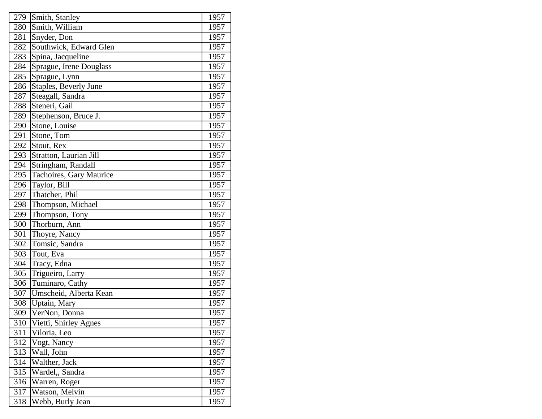| 279              | Smith, Stanley          | 1957 |
|------------------|-------------------------|------|
| 280              | Smith, William          | 1957 |
| 281              | Snyder, Don             | 1957 |
| 282              | Southwick, Edward Glen  | 1957 |
| 283              | Spina, Jacqueline       | 1957 |
| 284              | Sprague, Irene Douglass | 1957 |
| 285              | Sprague, Lynn           | 1957 |
| 286              | Staples, Beverly June   | 1957 |
| 287              | Steagall, Sandra        | 1957 |
| 288              | Steneri, Gail           | 1957 |
| 289              | Stephenson, Bruce J.    | 1957 |
| 290              | Stone, Louise           | 1957 |
| 291              | Stone, Tom              | 1957 |
| 292              | Stout, Rex              | 1957 |
| 293              | Stratton, Laurian Jill  | 1957 |
| 294              | Stringham, Randall      | 1957 |
| 295              | Tachoires, Gary Maurice | 1957 |
| 296              | Taylor, Bill            | 1957 |
| 297              | Thatcher, Phil          | 1957 |
| 298              | Thompson, Michael       | 1957 |
| 299              | Thompson, Tony          | 1957 |
| 300              | Thorburn, Ann           | 1957 |
| 301              | Thoyre, Nancy           | 1957 |
| 302              | Tomsic, Sandra          | 1957 |
| 303              | Tout, Eva               | 1957 |
| 304              | Tracy, Edna             | 1957 |
| 305              | Trigueiro, Larry        | 1957 |
| 306              | Tuminaro, Cathy         | 1957 |
| 307              | Umscheid, Alberta Kean  | 1957 |
| 308              | Uptain, Mary            | 1957 |
| 309              | VerNon, Donna           | 1957 |
| 310              | Vietti, Shirley Agnes   | 1957 |
| 311              | Viloria, Leo            | 1957 |
| 312              | Vogt, Nancy             | 1957 |
| 313              | Wall, John              | 1957 |
| 314              | Walther, Jack           | 1957 |
| $\overline{3}15$ | Wardel,, Sandra         | 1957 |
| 316              | Warren, Roger           | 1957 |
| 317              | Watson, Melvin          | 1957 |
| 318              | Webb, Burly Jean        | 1957 |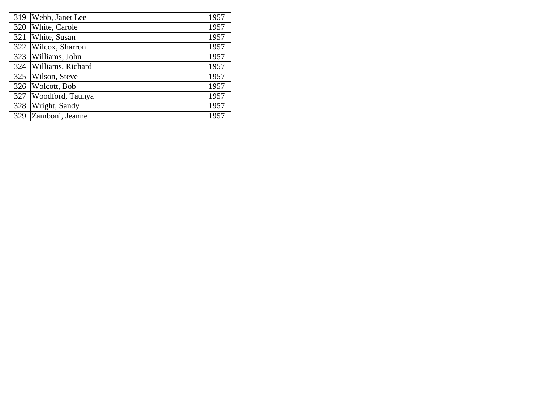| 319 | Webb, Janet Lee     | 1957 |
|-----|---------------------|------|
| 320 | White, Carole       | 1957 |
| 321 | White, Susan        | 1957 |
|     | 322 Wilcox, Sharron | 1957 |
| 323 | Williams, John      | 1957 |
| 324 | Williams, Richard   | 1957 |
| 325 | Wilson, Steve       | 1957 |
| 326 | Wolcott, Bob        | 1957 |
| 327 | Woodford, Taunya    | 1957 |
| 328 | Wright, Sandy       | 1957 |
| 329 | Zamboni, Jeanne     | 1957 |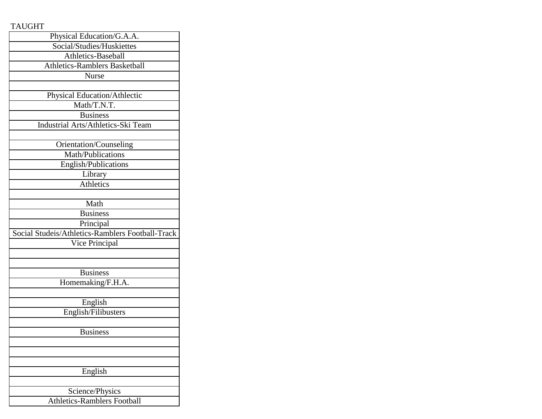## TAUGHT

| Physical Education/G.A.A.                        |
|--------------------------------------------------|
| Social/Studies/Huskiettes                        |
| Athletics-Baseball                               |
| <b>Athletics-Ramblers Basketball</b>             |
| <b>Nurse</b>                                     |
|                                                  |
| Physical Education/Athlectic                     |
| Math/T.N.T.                                      |
| <b>Business</b>                                  |
| Industrial Arts/Athletics-Ski Team               |
|                                                  |
| Orientation/Counseling                           |
| Math/Publications                                |
| English/Publications                             |
| Library                                          |
| Athletics                                        |
|                                                  |
| Math                                             |
| <b>Business</b>                                  |
| Principal                                        |
| Social Studeis/Athletics-Ramblers Football-Track |
| Vice Principal                                   |
|                                                  |
|                                                  |
| <b>Business</b>                                  |
| Homemaking/F.H.A.                                |
|                                                  |
| English                                          |
| English/Filibusters                              |
|                                                  |
| <b>Business</b>                                  |
|                                                  |
|                                                  |
|                                                  |
| English                                          |
|                                                  |
| Science/Physics                                  |
| <b>Athletics-Ramblers Football</b>               |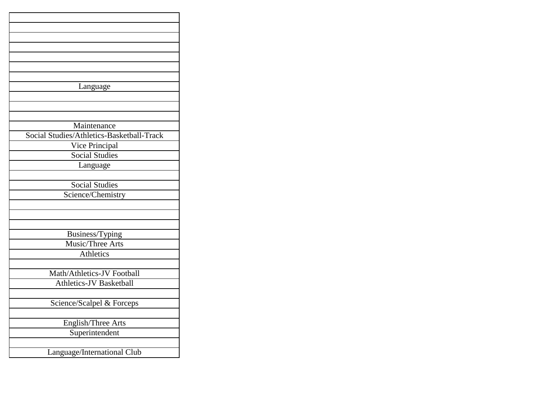| Language                                  |
|-------------------------------------------|
|                                           |
|                                           |
|                                           |
| Maintenance                               |
| Social Studies/Athletics-Basketball-Track |
| Vice Principal                            |
| <b>Social Studies</b>                     |
| Language                                  |
|                                           |
| <b>Social Studies</b>                     |
| Science/Chemistry                         |
|                                           |
|                                           |
|                                           |
| Business/Typing                           |
| Music/Three Arts                          |
| <b>Athletics</b>                          |
|                                           |
| Math/Athletics-JV Football                |
| <b>Athletics-JV Basketball</b>            |
|                                           |
| Science/Scalpel & Forceps                 |
|                                           |
| English/Three Arts                        |
| Superintendent                            |
|                                           |
| Language/International Club               |